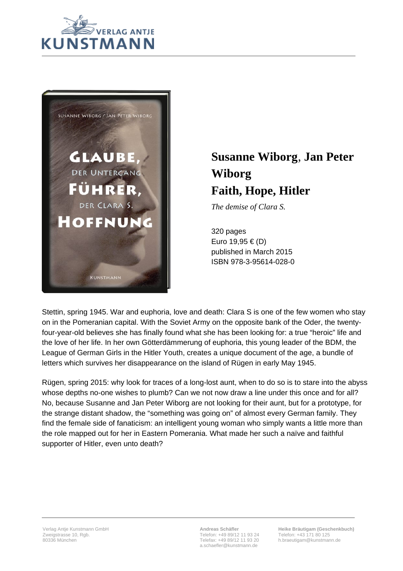



## **Susanne Wiborg**, **Jan Peter Wiborg Faith, Hope, Hitler**

*The demise of Clara S.*

320 pages Euro 19,95 € (D) published in March 2015 ISBN 978-3-95614-028-0

Stettin, spring 1945. War and euphoria, love and death: Clara S is one of the few women who stay on in the Pomeranian capital. With the Soviet Army on the opposite bank of the Oder, the twentyfour-year-old believes she has finally found what she has been looking for: a true "heroic" life and the love of her life. In her own Götterdämmerung of euphoria, this young leader of the BDM, the League of German Girls in the Hitler Youth, creates a unique document of the age, a bundle of letters which survives her disappearance on the island of Rügen in early May 1945.

Rügen, spring 2015: why look for traces of a long-lost aunt, when to do so is to stare into the abyss whose depths no-one wishes to plumb? Can we not now draw a line under this once and for all? No, because Susanne and Jan Peter Wiborg are not looking for their aunt, but for a prototype, for the strange distant shadow, the "something was going on" of almost every German family. They find the female side of fanaticism: an intelligent young woman who simply wants a little more than the role mapped out for her in Eastern Pomerania. What made her such a naïve and faithful supporter of Hitler, even unto death?

**Andreas Schäfler** Telefon: +49 89/12 11 93 24 Telefax: +49 89/12 11 93 20 a.schaefler@kunstmann.de

**Heike Bräutigam (Geschenkbuch)** Telefon: +43 171 80 125 h.braeutigam@kunstmann.de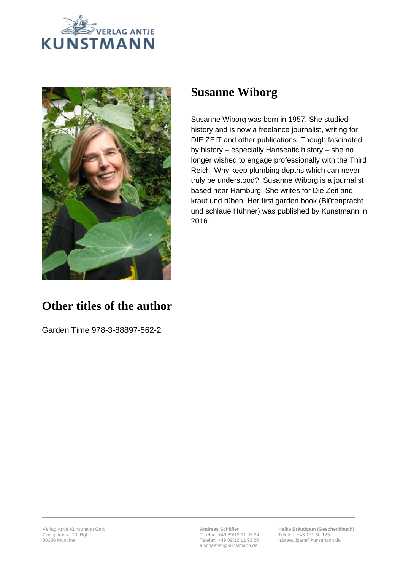



## **Susanne Wiborg**

Susanne Wiborg was born in 1957. She studied history and is now a freelance journalist, writing for DIE ZEIT and other publications. Though fascinated by history – especially Hanseatic history – she no longer wished to engage professionally with the Third Reich. Why keep plumbing depths which can never truly be understood? ,Susanne Wiborg is a journalist based near Hamburg. She writes for Die Zeit and kraut und rüben. Her first garden book (Blütenpracht und schlaue Hühner) was published by Kunstmann in 2016.

## **Other titles of the author**

Garden Time 978-3-88897-562-2